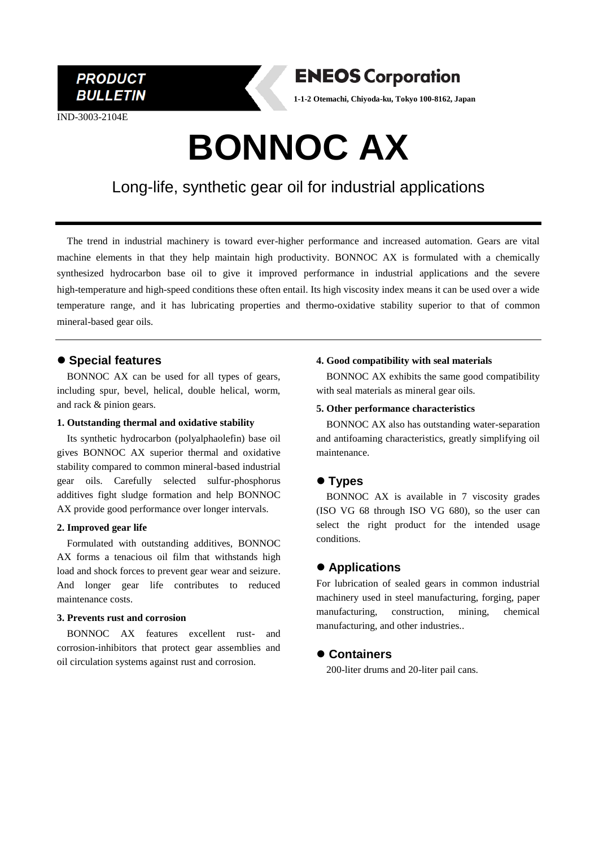**PRODUCT BULLETIN** 

IND-3003-2104E

# **ENEOS Corporation**

**1-1-2 Otemachi, Chiyoda-ku, Tokyo 100-8162, Japan**

# **BONNOC AX**

# Long-life, synthetic gear oil for industrial applications

The trend in industrial machinery is toward ever-higher performance and increased automation. Gears are vital machine elements in that they help maintain high productivity. BONNOC AX is formulated with a chemically synthesized hydrocarbon base oil to give it improved performance in industrial applications and the severe high-temperature and high-speed conditions these often entail. Its high viscosity index means it can be used over a wide temperature range, and it has lubricating properties and thermo-oxidative stability superior to that of common mineral-based gear oils.

## ⚫ **Special features**

BONNOC AX can be used for all types of gears, including spur, bevel, helical, double helical, worm, and rack & pinion gears.

#### **1. Outstanding thermal and oxidative stability**

Its synthetic hydrocarbon (polyalphaolefin) base oil gives BONNOC AX superior thermal and oxidative stability compared to common mineral-based industrial gear oils. Carefully selected sulfur-phosphorus additives fight sludge formation and help BONNOC AX provide good performance over longer intervals.

#### **2. Improved gear life**

Formulated with outstanding additives, BONNOC AX forms a tenacious oil film that withstands high load and shock forces to prevent gear wear and seizure. And longer gear life contributes to reduced maintenance costs.

#### **3. Prevents rust and corrosion**

BONNOC AX features excellent rust- and corrosion-inhibitors that protect gear assemblies and oil circulation systems against rust and corrosion.

#### **4. Good compatibility with seal materials**

BONNOC AX exhibits the same good compatibility with seal materials as mineral gear oils.

#### **5. Other performance characteristics**

BONNOC AX also has outstanding water-separation and antifoaming characteristics, greatly simplifying oil maintenance.

### ⚫ **Types**

BONNOC AX is available in 7 viscosity grades (ISO VG 68 through ISO VG 680), so the user can select the right product for the intended usage conditions.

## ⚫ **Applications**

For lubrication of sealed gears in common industrial machinery used in steel manufacturing, forging, paper manufacturing, construction, mining, chemical manufacturing, and other industries..

### ⚫ **Containers**

200-liter drums and 20-liter pail cans.